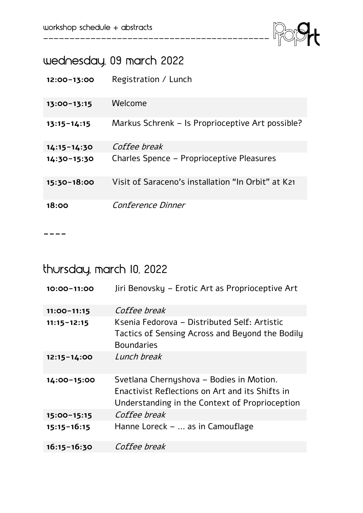

# wednesday, 09 march 2022

| $12:00-13:00$   | Registration / Lunch                               |
|-----------------|----------------------------------------------------|
| $13:00 - 13:15$ | Welcome                                            |
| $13:15 - 14:15$ | Markus Schrenk – Is Proprioceptive Art possible?   |
| $14:15 - 14:30$ | Coffee break                                       |
| $14:30-15:30$   | Charles Spence - Proprioceptive Pleasures          |
| $15:30-18:00$   | Visit of Saraceno's installation "In Orbit" at K21 |
| 18:00           | Conference Dinner                                  |

-------------------------------------------

**----**

# thursday, march 10, 2022

| 10:00-11:00     | Jiri Benovsky – Erotic Art as Proprioceptive Art                                                                                              |
|-----------------|-----------------------------------------------------------------------------------------------------------------------------------------------|
| $11:00 - 11:15$ | Coffee break                                                                                                                                  |
| $11:15 - 12:15$ | Ksenia Fedorova - Distributed Self: Artistic<br>Tactics of Sensing Across and Beyond the Bodily<br><b>Boundaries</b>                          |
| $12:15 - 14:00$ | Lunch break                                                                                                                                   |
| 14:00-15:00     | Svetlana Chernyshova - Bodies in Motion.<br>Enactivist Reflections on Art and its Shifts in<br>Understanding in the Context of Proprioception |
| 15:00-15:15     | Coffee break                                                                                                                                  |
| $15:15 - 16:15$ | Hanne Loreck –  as in Camouflage                                                                                                              |
| $16:15 - 16:30$ | Coffee break                                                                                                                                  |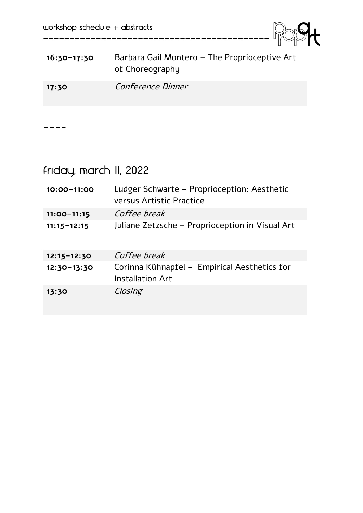

| $16:30-17:30$ | Barbara Gail Montero - The Proprioceptive Art<br>of Choreography |
|---------------|------------------------------------------------------------------|
| 17:30         | <i>Conference Dinner</i>                                         |

-------------------------------------------

**----**

# Friday, March 11, 2022

| 10:00-11:00     | Ludger Schwarte – Proprioception: Aesthetic<br>versus Artistic Practice |
|-----------------|-------------------------------------------------------------------------|
| $11:00 - 11:15$ | Coffee break                                                            |
| $11:15 - 12:15$ | Juliane Zetzsche – Proprioception in Visual Art                         |
| $12:15 - 12:30$ | Coffee break                                                            |
| $12:30-13:30$   | Corinna Kühnapfel – Empirical Aesthetics for<br><b>Installation Art</b> |
| 13:30           | Closing                                                                 |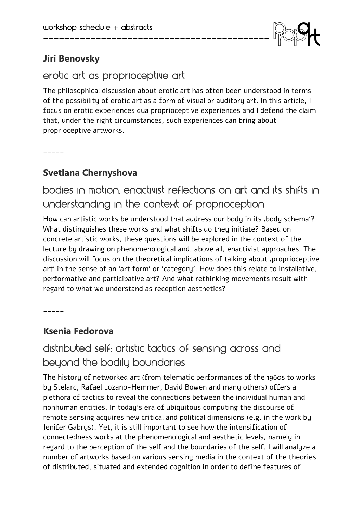

## **Jiri Benovsky**

#### erotic art as proprioceptive art

The philosophical discussion about erotic art has often been understood in terms of the possibility of erotic art as a form of visual or auditory art. In this article, I focus on erotic experiences qua proprioceptive experiences and I defend the claim that, under the right circumstances, such experiences can bring about proprioceptive artworks.

-------------------------------------------

**\_\_\_\_\_**

#### **Svetlana Chernyshova**

bodies in motion, enactivist reflections on art and its shifts in understanding in the context of proprioception

How can artistic works be understood that address our body in its , body schema'? What distinguishes these works and what shifts do they initiate? Based on concrete artistic works, these questions will be explored in the context of the lecture by drawing on phenomenological and, above all, enactivist approaches. The discussion will focus on the theoretical implications of talking about 'proprioceptive art' in the sense of an 'art form' or 'category'. How does this relate to installative, performative and participative art? And what rethinking movements result with regard to what we understand as reception aesthetics?

**\_\_\_\_\_**

#### **Ksenia Fedorova**

# distributed self: artistic tactics of sensing across and beyond the bodily boundaries

The history of networked art (from telematic performances of the 1960s to works by Stelarc, Rafael Lozano-Hemmer, David Bowen and many others) offers a plethora of tactics to reveal the connections between the individual human and nonhuman entities. In today's era of ubiquitous computing the discourse of remote sensing acquires new critical and political dimensions (e.g. in the work by Jenifer Gabrys). Yet, it is still important to see how the intensification of connectedness works at the phenomenological and aesthetic levels, namely in regard to the perception of the self and the boundaries of the self. I will analyze a number of artworks based on various sensing media in the context of the theories of distributed, situated and extended cognition in order to define features of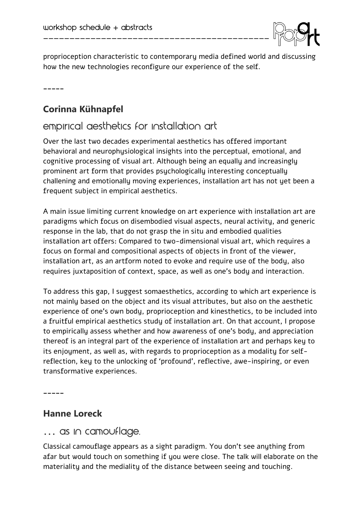

proprioception characteristic to contemporary media defined world and discussing how the new technologies reconfigure our experience of the self.

-------------------------------------------

**\_\_\_\_\_**

## **Corinna Kühnapfel**

# empirical aesthetics for installation art

Over the last two decades experimental aesthetics has offered important behavioral and neurophysiological insights into the perceptual, emotional, and cognitive processing of visual art. Although being an equally and increasingly prominent art form that provides psychologically interesting conceptually challening and emotionally moving experiences, installation art has not yet been a frequent subject in empirical aesthetics.

A main issue limiting current knowledge on art experience with installation art are paradigms which focus on disembodied visual aspects, neural activity, and generic response in the lab, that do not grasp the in situ and embodied qualities installation art offers: Compared to two-dimensional visual art, which requires a focus on formal and compositional aspects of objects in front of the viewer, installation art, as an artform noted to evoke and require use of the body, also requires juxtaposition of context, space, as well as one's body and interaction.

To address this gap, I suggest somaesthetics, according to which art experience is not mainly based on the object and its visual attributes, but also on the aesthetic experience of one's own body, proprioception and kinesthetics, to be included into a fruitful empirical aesthetics study of installation art. On that account, I propose to empirically assess whether and how awareness of one's body, and appreciation thereof is an integral part of the experience of installation art and perhaps key to its enjoyment, as well as, with regards to proprioception as a modality for selfreflection, key to the unlocking of 'profound', reflective, awe-inspiring, or even transformative experiences.

**\_\_\_\_\_**

#### **Hanne Loreck**

… as in Camouflage.

Classical camouflage appears as a sight paradigm. You don't see anything from afar but would touch on something if you were close. The talk will elaborate on the materiality and the mediality of the distance between seeing and touching.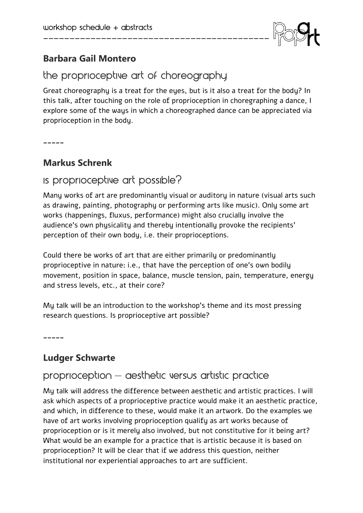

#### **Barbara Gail Montero**

# the proprioceptive art of choreography

-------------------------------------------

Great choreography is a treat for the eyes, but is it also a treat for the body? In this talk, after touching on the role of proprioception in choregraphing a dance, I explore some of the ways in which a choreographed dance can be appreciated via proprioception in the body.

**\_\_\_\_\_**

#### **Markus Schrenk**

# Is proprioceptive art possible?

Many works of art are predominantly visual or auditory in nature (visual arts such as drawing, painting, photography or performing arts like music). Only some art works (happenings, fluxus, performance) might also crucially involve the audience's own physicality and thereby intentionally provoke the recipients' perception of their own body, i.e. their proprioceptions.

Could there be works of art that are either primarily or predominantly proprioceptive in nature: i.e., that have the perception of one's own bodily movement, position in space, balance, muscle tension, pain, temperature, energy and stress levels, etc., at their core?

My talk will be an introduction to the workshop's theme and its most pressing research questions. Is proprioceptive art possible?

**\_\_\_\_\_**

#### **Ludger Schwarte**

## $proprioception - qeshetic versus artistic practice$

My talk will address the difference between aesthetic and artistic practices. I will ask which aspects of a proprioceptive practice would make it an aesthetic practice, and which, in difference to these, would make it an artwork. Do the examples we have of art works involving proprioception qualify as art works because of proprioception or is it merely also involved, but not constitutive for it being art? What would be an example for a practice that is artistic because it is based on proprioception? It will be clear that if we address this question, neither institutional nor experiential approaches to art are sufficient.